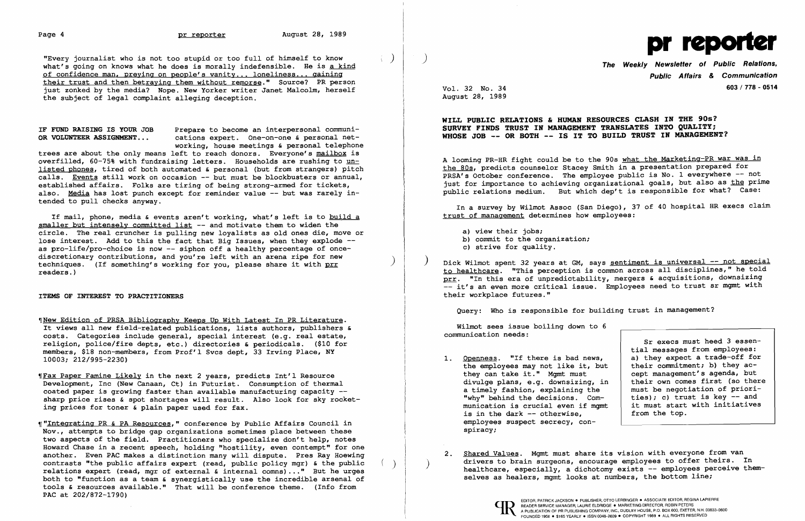"Every journalist who is not too stupid or too full of himself to know ) what's going on knows what he does is morally indefensible. He is a kind of confidence man, preying on people's vanity ... loneliness... gaining their trust and then betraying them without remorse." Source? PR person just zonked by the media? Nope. New Yorker writer Janet Malcolm, herself the subject of legal complaint alleging deception.

IF FUND RAISING IS YOUR JOB Prepare to become an interpersonal communi-<br>OR VOLUNTEER ASSIGNMENT... cations expert. One-on-one & personal netcations expert. One-on-one & personal networking, house meetings & personal telephone

trees are about the only means left to reach donors. Everyone's mailbox is overfilled, 60-75% with fundraising letters. Households are rushing to unlisted phones, tired of both automated & personal (but from strangers) pitch calls. Events still work on occasion -- but must be blockbusters or annual, established affairs. Folks are tiring of being strong-armed for tickets, also. Media has lost punch except for reminder value -- but was rarely intended to pull checks anyway.

%New Edition of PRSA Bibliography Keeps Up With Latest In PR Literature. It views all new field-related publications, lists authors, publishers & costs. Categories include general, special interest (e.g. real estate, religion, police/fire depts, etc.) directories & periodicals. (\$10 for members, \$18 non-members, from Prof'l Svcs dept, 33 Irving Place, NY 10003; 212/995-2230)

*(Fax Paper Famine Likely in the next 2 years, predicts Int'l Resource* Development, Inc (New Canaan, Ct) in Futurist. Consumption of thermal coated paper is growing faster than available manufacturing capacity  $-$ sharp price rises & spot shortages will result. Also look for sky rocketing prices for toner & plain paper used for fax.

If mail, phone, media & events aren't working, what's left is to build a smaller but intensely committed list -- and motivate them to widen the circle. The real cruncher is pulling new loyalists as old ones die, move or lose interest. Add to this the fact that Big Issues, when they explode -as pro-life/pro-choice is now -- siphon off a healthy percentage of oncediscretionary contributions, and you're left with an arena ripe for new techniques. (If something's working for you, please share it with prr readers.)

ITEMS OF INTEREST TO PRACTITIONERS

- a) view their jobs;
- b) commit to the organization;
- c) strive for quality.
- their workplace futures."

- 1. Openness. "If there is bad news, the employees may not like it, but they can take it." Mgmt must divulge plans, e.g. downsizing, in a timely fashion, explaining the "why" behind the decisions. Communication is crucial even if mgmt is in the dark -- otherwise, employees suspect secrecy, conspiracy;
- 



Public Affairs & Communication 603/ 778 - 0514

August 28, 1989 Vol. 32 No. 34

## WILL PUBLIC RELATIONS & HUMAN RESOURCES CLASH IN THE 90s?

Dick Wilmot spent 32 years at GM, says sentiment is universal -- not special to healthcare. "This perception is common across all disciplines," he told prr. "In this era of unpredictability, mergers & acquisitions, downsizing -- it's an even more critical issue. Employees need to trust sr mgmt with

SURVEY FINDS TRUST IN MANAGEMENT TRANSLATES INTO QUALITY; WHOSE JOB -- OR BOTH -- IS IT TO BUILD TRUST IN MANAGEMENT?

A looming PR-HR fight could be to the 90s what the Marketing-PR war was in the 80s, predicts counselor Stacey Smith in a presentation prepared for PRSA's October conference. The employee public is No. 1 everywhere -- not just for importance to achieving organizational goals, but also as the prime public relations medium. But which dep't is responsible for what? Case:

In a survey by Wilmot Assoc (San Diego), 37 of 40 hospital HR execs claim trust of management determines how employees:

,r "Integrating PR & PA Resources," conference by Public Affairs Council in Nov., attempts to bridge gap organizations sometimes place between these two aspects of the field. Practitioners who specialize don't help, notes Howard Chase in a recent speech, holding "hostility, even contempt" for one another. Even PAC makes a distinction many will dispute. Pres Ray Hoewing contrasts "the public affairs expert (read, public policy mgr) & the public relations expert (read, mgr of external & internal comns) ... " But he urges both to "function as a team  $\epsilon$  synergistically use the incredible arsenal of tools & resources available." That will be conference theme. (Info from PAC at 202/872-1790)

Query: Who is responsible for building trust in management?

Wilmot sees issue boiling down to 6 communication needs:

Sr execs must heed 3 essential messages from employees: a) they expect a trade-off for their commitment; b) they accept management's agenda, but their own comes first (so there must be negotiation of priorities); c) trust is key  $-$  and it must start with initiatives from the top.

2. Shared Values. Mgmt must share its vision with everyone from van drivers to brain surgeons, encourage employees to offer theirs. In healthcare, especially, a dichotomy exists  $-$  employees perceive them-<br>selves as healers, mgmt looks at numbers, the bottom line;